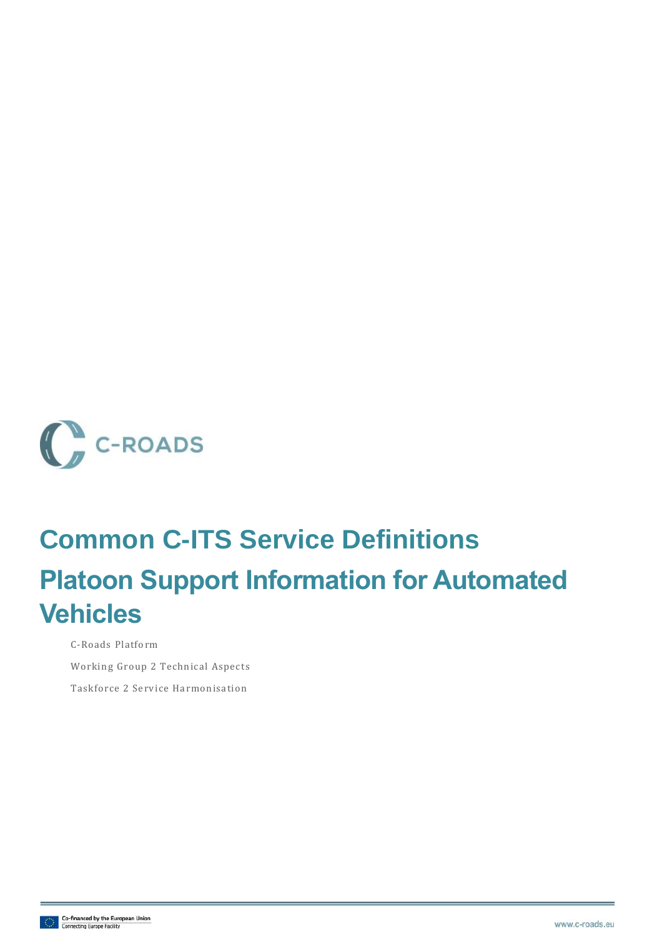

# **Common C-ITS Service Definitions Platoon Support Information for Automated Vehicles**

C-Roads Platform Working Group 2 Technical Aspects

Taskforce 2 Service Harmonisation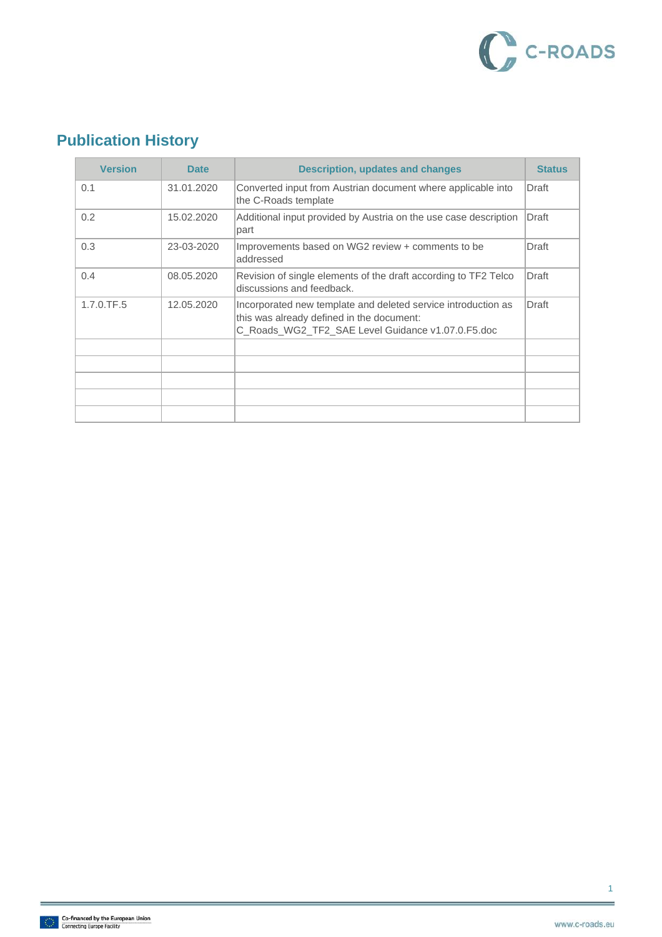

## **Publication History**

| <b>Version</b> | <b>Date</b> | <b>Description, updates and changes</b>                                                                                                                         | <b>Status</b> |
|----------------|-------------|-----------------------------------------------------------------------------------------------------------------------------------------------------------------|---------------|
| 0.1            | 31.01.2020  | Converted input from Austrian document where applicable into<br>the C-Roads template                                                                            | Draft         |
| 0.2            | 15.02.2020  | Additional input provided by Austria on the use case description<br>part                                                                                        | Draft         |
| 0.3            | 23-03-2020  | Improvements based on WG2 review + comments to be<br>addressed                                                                                                  | Draft         |
| 0.4            | 08.05.2020  | Revision of single elements of the draft according to TF2 Telco<br>discussions and feedback.                                                                    | Draft         |
| 1.7.0.TF.5     | 12.05.2020  | Incorporated new template and deleted service introduction as<br>this was already defined in the document:<br>C Roads WG2 TF2 SAE Level Guidance v1.07.0.F5.doc | Draft         |
|                |             |                                                                                                                                                                 |               |
|                |             |                                                                                                                                                                 |               |
|                |             |                                                                                                                                                                 |               |
|                |             |                                                                                                                                                                 |               |
|                |             |                                                                                                                                                                 |               |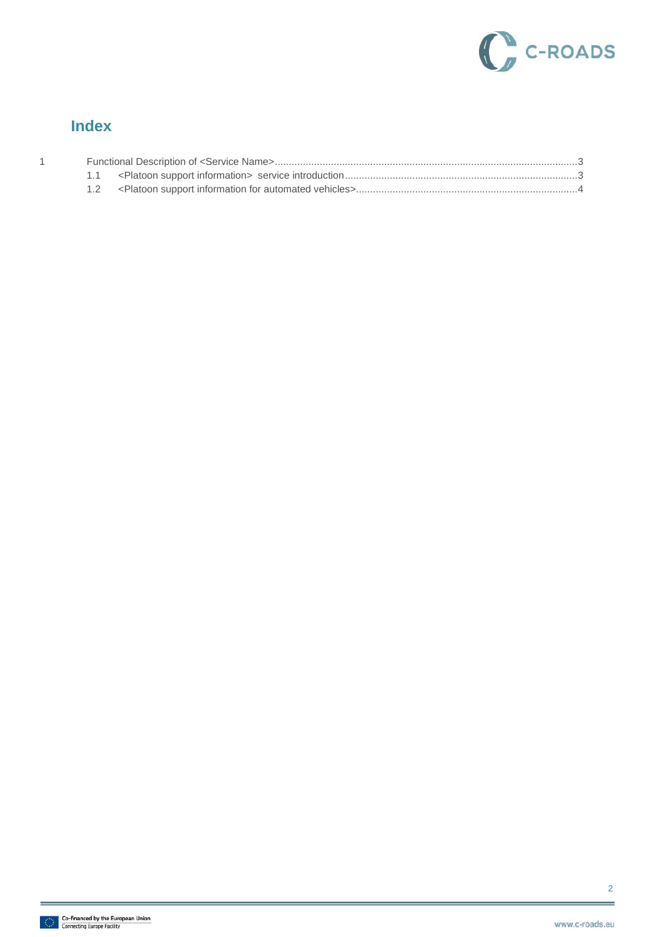

#### **Index**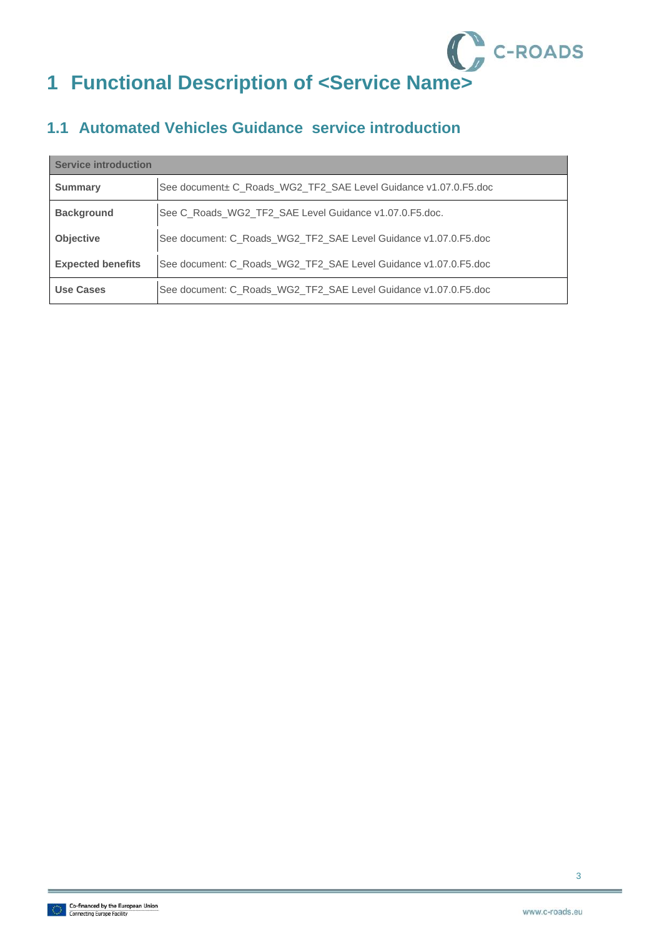

#### <span id="page-3-1"></span><span id="page-3-0"></span>**1.1 Automated Vehicles Guidance service introduction**

| <b>Service introduction</b> |                                                                 |  |
|-----------------------------|-----------------------------------------------------------------|--|
| <b>Summary</b>              | See document± C_Roads_WG2_TF2_SAE Level Guidance v1.07.0.F5.doc |  |
| <b>Background</b>           | See C_Roads_WG2_TF2_SAE Level Guidance v1.07.0.F5.doc.          |  |
| <b>Objective</b>            | See document: C_Roads_WG2_TF2_SAE Level Guidance v1.07.0.F5.doc |  |
| <b>Expected benefits</b>    | See document: C_Roads_WG2_TF2_SAE Level Guidance v1.07.0.F5.doc |  |
| Use Cases                   | See document: C_Roads_WG2_TF2_SAE Level Guidance v1.07.0.F5.doc |  |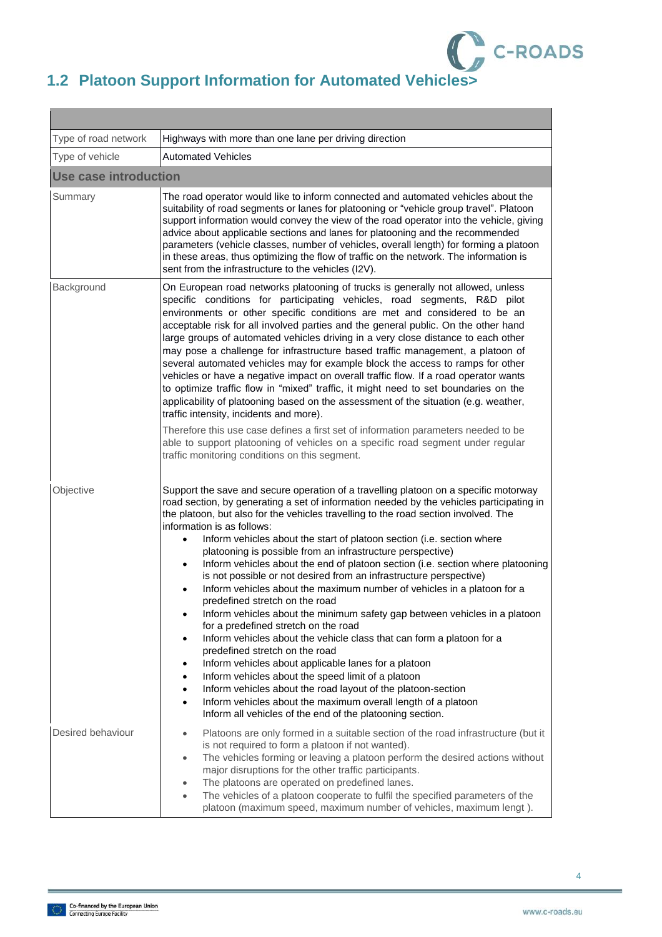

### <span id="page-4-0"></span>**1.2 Platoon Support Information for Automated Vehicles>**

 $\overline{\phantom{a}}$ 

| Type of road network         | Highways with more than one lane per driving direction                                                                                                                                                                                                                                                                                                                                                                                                                                                                                                                                                                                                                                                                                                                                                                                                                                                                                                                                                                                                                                                                                                                                                                                                                                                                    |  |  |  |
|------------------------------|---------------------------------------------------------------------------------------------------------------------------------------------------------------------------------------------------------------------------------------------------------------------------------------------------------------------------------------------------------------------------------------------------------------------------------------------------------------------------------------------------------------------------------------------------------------------------------------------------------------------------------------------------------------------------------------------------------------------------------------------------------------------------------------------------------------------------------------------------------------------------------------------------------------------------------------------------------------------------------------------------------------------------------------------------------------------------------------------------------------------------------------------------------------------------------------------------------------------------------------------------------------------------------------------------------------------------|--|--|--|
| Type of vehicle              | <b>Automated Vehicles</b>                                                                                                                                                                                                                                                                                                                                                                                                                                                                                                                                                                                                                                                                                                                                                                                                                                                                                                                                                                                                                                                                                                                                                                                                                                                                                                 |  |  |  |
| <b>Use case introduction</b> |                                                                                                                                                                                                                                                                                                                                                                                                                                                                                                                                                                                                                                                                                                                                                                                                                                                                                                                                                                                                                                                                                                                                                                                                                                                                                                                           |  |  |  |
| Summary                      | The road operator would like to inform connected and automated vehicles about the<br>suitability of road segments or lanes for platooning or "vehicle group travel". Platoon<br>support information would convey the view of the road operator into the vehicle, giving<br>advice about applicable sections and lanes for platooning and the recommended<br>parameters (vehicle classes, number of vehicles, overall length) for forming a platoon<br>in these areas, thus optimizing the flow of traffic on the network. The information is<br>sent from the infrastructure to the vehicles (I2V).                                                                                                                                                                                                                                                                                                                                                                                                                                                                                                                                                                                                                                                                                                                       |  |  |  |
| Background                   | On European road networks platooning of trucks is generally not allowed, unless<br>specific conditions for participating vehicles, road segments, R&D pilot<br>environments or other specific conditions are met and considered to be an<br>acceptable risk for all involved parties and the general public. On the other hand<br>large groups of automated vehicles driving in a very close distance to each other<br>may pose a challenge for infrastructure based traffic management, a platoon of<br>several automated vehicles may for example block the access to ramps for other<br>vehicles or have a negative impact on overall traffic flow. If a road operator wants<br>to optimize traffic flow in "mixed" traffic, it might need to set boundaries on the<br>applicability of platooning based on the assessment of the situation (e.g. weather,<br>traffic intensity, incidents and more).<br>Therefore this use case defines a first set of information parameters needed to be<br>able to support platooning of vehicles on a specific road segment under regular<br>traffic monitoring conditions on this segment.                                                                                                                                                                                       |  |  |  |
|                              |                                                                                                                                                                                                                                                                                                                                                                                                                                                                                                                                                                                                                                                                                                                                                                                                                                                                                                                                                                                                                                                                                                                                                                                                                                                                                                                           |  |  |  |
| Objective                    | Support the save and secure operation of a travelling platoon on a specific motorway<br>road section, by generating a set of information needed by the vehicles participating in<br>the platoon, but also for the vehicles travelling to the road section involved. The<br>information is as follows:<br>Inform vehicles about the start of platoon section (i.e. section where<br>$\bullet$<br>platooning is possible from an infrastructure perspective)<br>Inform vehicles about the end of platoon section (i.e. section where platooning<br>٠<br>is not possible or not desired from an infrastructure perspective)<br>Inform vehicles about the maximum number of vehicles in a platoon for a<br>predefined stretch on the road<br>Inform vehicles about the minimum safety gap between vehicles in a platoon<br>for a predefined stretch on the road<br>Inform vehicles about the vehicle class that can form a platoon for a<br>$\bullet$<br>predefined stretch on the road<br>Inform vehicles about applicable lanes for a platoon<br>$\bullet$<br>Inform vehicles about the speed limit of a platoon<br>Inform vehicles about the road layout of the platoon-section<br>Inform vehicles about the maximum overall length of a platoon<br>$\bullet$<br>Inform all vehicles of the end of the platooning section. |  |  |  |
| Desired behaviour            | Platoons are only formed in a suitable section of the road infrastructure (but it<br>$\bullet$<br>is not required to form a platoon if not wanted).<br>The vehicles forming or leaving a platoon perform the desired actions without<br>$\bullet$<br>major disruptions for the other traffic participants.<br>The platoons are operated on predefined lanes.<br>The vehicles of a platoon cooperate to fulfil the specified parameters of the<br>platoon (maximum speed, maximum number of vehicles, maximum lengt).                                                                                                                                                                                                                                                                                                                                                                                                                                                                                                                                                                                                                                                                                                                                                                                                      |  |  |  |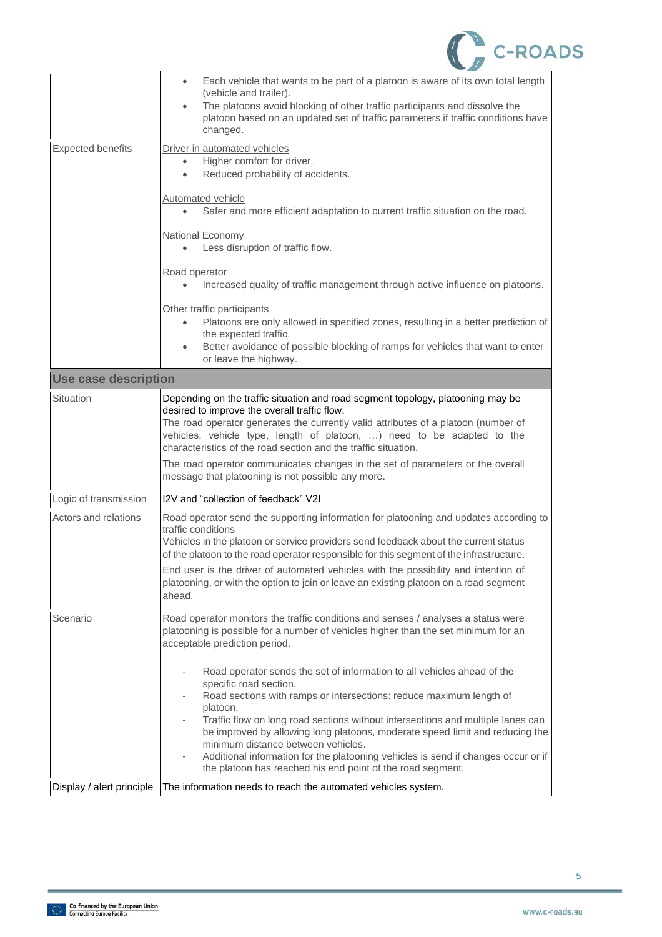|                           | <b>C-ROADS</b>                                                                                                                                                                                                                                                                                                                                                                                                                                                                                                                                                               |  |
|---------------------------|------------------------------------------------------------------------------------------------------------------------------------------------------------------------------------------------------------------------------------------------------------------------------------------------------------------------------------------------------------------------------------------------------------------------------------------------------------------------------------------------------------------------------------------------------------------------------|--|
|                           | Each vehicle that wants to be part of a platoon is aware of its own total length<br>$\bullet$<br>(vehicle and trailer).<br>The platoons avoid blocking of other traffic participants and dissolve the<br>platoon based on an updated set of traffic parameters if traffic conditions have<br>changed.                                                                                                                                                                                                                                                                        |  |
| <b>Expected benefits</b>  | Driver in automated vehicles<br>Higher comfort for driver.<br>$\bullet$<br>Reduced probability of accidents.                                                                                                                                                                                                                                                                                                                                                                                                                                                                 |  |
|                           | <b>Automated vehicle</b><br>Safer and more efficient adaptation to current traffic situation on the road.<br>$\bullet$                                                                                                                                                                                                                                                                                                                                                                                                                                                       |  |
|                           | <b>National Economy</b><br>Less disruption of traffic flow.                                                                                                                                                                                                                                                                                                                                                                                                                                                                                                                  |  |
|                           | Road operator<br>Increased quality of traffic management through active influence on platoons.                                                                                                                                                                                                                                                                                                                                                                                                                                                                               |  |
|                           | Other traffic participants<br>Platoons are only allowed in specified zones, resulting in a better prediction of<br>the expected traffic.<br>Better avoidance of possible blocking of ramps for vehicles that want to enter<br>or leave the highway.                                                                                                                                                                                                                                                                                                                          |  |
| Use case description      |                                                                                                                                                                                                                                                                                                                                                                                                                                                                                                                                                                              |  |
| Situation                 | Depending on the traffic situation and road segment topology, platooning may be<br>desired to improve the overall traffic flow.<br>The road operator generates the currently valid attributes of a platoon (number of<br>vehicles, vehicle type, length of platoon, ) need to be adapted to the<br>characteristics of the road section and the traffic situation.<br>The road operator communicates changes in the set of parameters or the overall                                                                                                                          |  |
|                           | message that platooning is not possible any more.                                                                                                                                                                                                                                                                                                                                                                                                                                                                                                                            |  |
| Logic of transmission     | I2V and "collection of feedback" V2I                                                                                                                                                                                                                                                                                                                                                                                                                                                                                                                                         |  |
| Actors and relations      | Road operator send the supporting information for platooning and updates according to<br>traffic conditions<br>Vehicles in the platoon or service providers send feedback about the current status<br>of the platoon to the road operator responsible for this segment of the infrastructure.                                                                                                                                                                                                                                                                                |  |
|                           | End user is the driver of automated vehicles with the possibility and intention of<br>platooning, or with the option to join or leave an existing platoon on a road segment<br>ahead.                                                                                                                                                                                                                                                                                                                                                                                        |  |
| Scenario                  | Road operator monitors the traffic conditions and senses / analyses a status were<br>platooning is possible for a number of vehicles higher than the set minimum for an<br>acceptable prediction period.                                                                                                                                                                                                                                                                                                                                                                     |  |
|                           | Road operator sends the set of information to all vehicles ahead of the<br>specific road section.<br>Road sections with ramps or intersections: reduce maximum length of<br>platoon.<br>Traffic flow on long road sections without intersections and multiple lanes can<br>be improved by allowing long platoons, moderate speed limit and reducing the<br>minimum distance between vehicles.<br>Additional information for the platooning vehicles is send if changes occur or if<br>$\overline{\phantom{a}}$<br>the platoon has reached his end point of the road segment. |  |
| Display / alert principle | The information needs to reach the automated vehicles system.                                                                                                                                                                                                                                                                                                                                                                                                                                                                                                                |  |

5